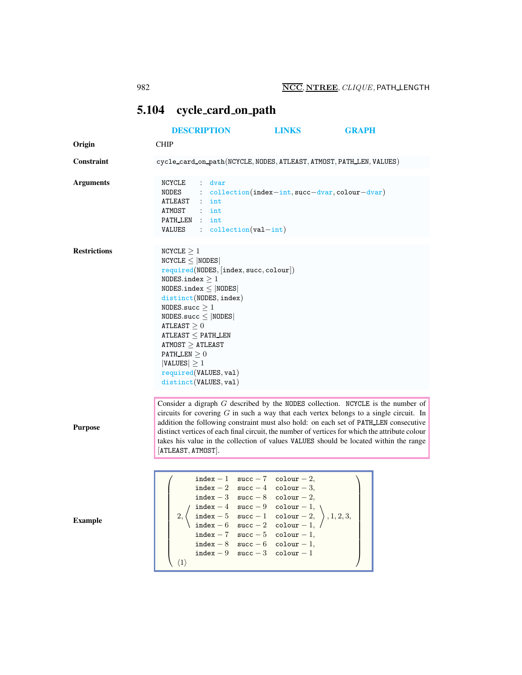## <span id="page-0-0"></span>5.104 cycle card on path

|                     | <b>DESCRIPTION</b>                                                                                                                                                                                                                                                                                                                                                                                                                                                                      | <b>LINKS</b>                                                                                       | <b>GRAPH</b> |
|---------------------|-----------------------------------------------------------------------------------------------------------------------------------------------------------------------------------------------------------------------------------------------------------------------------------------------------------------------------------------------------------------------------------------------------------------------------------------------------------------------------------------|----------------------------------------------------------------------------------------------------|--------------|
| Origin              | <b>CHIP</b>                                                                                                                                                                                                                                                                                                                                                                                                                                                                             |                                                                                                    |              |
| Constraint          | cycle_card_on_path(NCYCLE, NODES, ATLEAST, ATMOST, PATH_LEN, VALUES)                                                                                                                                                                                                                                                                                                                                                                                                                    |                                                                                                    |              |
| <b>Arguments</b>    | dvar<br>NCYCLE<br>$\mathbb{Z}^{\times}$<br>NODES<br>ATLEAST<br>$:$ int<br>ATMOST<br>$:$ int<br>PATH_LEN : int<br>$: collection(val-int)$<br>VALUES                                                                                                                                                                                                                                                                                                                                      | : $\text{collection}(\text{index}-\text{int}, \text{succ}-\text{dvar}, \text{colour}-\text{dvar})$ |              |
| <b>Restrictions</b> | NCYCLE $\geq 1$<br>NCYCLE <  NODES <br>$required(NDDES,  index, succ, colour )$<br>NODES.index $>1$<br>$NODES.index \leq  NODES $<br>distinct(NODES, index)<br>NODES.succ $\geq 1$<br>NODES.succ $\leq$ NODES<br>ATLEAST > 0<br>$\tt ATLEAST <$ PATH_LEN<br>$\tt ATMOST \geq ATLEAST$<br>PATH LEN $\geq 0$<br>$ VALUES  \geq 1$<br>required(VALUES, val)<br>distinct(VALUES, val)                                                                                                       |                                                                                                    |              |
| <b>Purpose</b>      | Consider a digraph $G$ described by the NODES collection. NCYCLE is the number of<br>circuits for covering $G$ in such a way that each vertex belongs to a single circuit. In<br>addition the following constraint must also hold: on each set of PATH_LEN consecutive<br>distinct vertices of each final circuit, the number of vertices for which the attribute colour<br>takes his value in the collection of values VALUES should be located within the range<br>[ATLEAST, ATMOST]. |                                                                                                    |              |
| <b>Example</b>      | $index - 1 succ - 7 colour - 2,$<br>$index - 2 succ - 4 colour - 3,$<br>$index - 3 succ - 8 colour - 2,$<br>$index - 4 succ - 9 colour - 1,$<br>index - 5 succ - 1 colour - 2,<br>2.<br>index - 6 succ - 2 colour - 1,<br>index - 7 succ - 5 colour - 1,<br>index $-8$ succ $-6$ colour $-1$ ,<br>$index - 9$ succ $-3$<br>$\langle 1 \rangle$                                                                                                                                          | $\text{colour}-1$                                                                                  | , 1, 2, 3,   |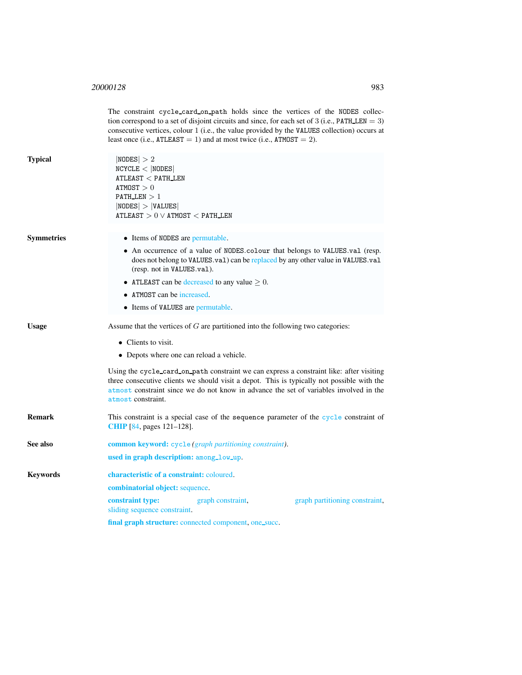<sup>20000128</sup> 983

<span id="page-1-0"></span>

|                   | The constraint cycle_card_on_path holds since the vertices of the NODES collec-<br>tion correspond to a set of disjoint circuits and since, for each set of 3 (i.e., $PATH$ LEN = 3)<br>consecutive vertices, colour 1 (i.e., the value provided by the VALUES collection) occurs at<br>least once (i.e., $ATLEAST = 1$ ) and at most twice (i.e., $ATMOST = 2$ ). |  |  |  |
|-------------------|--------------------------------------------------------------------------------------------------------------------------------------------------------------------------------------------------------------------------------------------------------------------------------------------------------------------------------------------------------------------|--|--|--|
| <b>Typical</b>    | NODES  > 2<br>NCYCLE <  NODES <br>$ATLEAST <$ PATH_LEN<br>ATMOST > 0<br>PATH LEN $>1$<br> NODES  >  VALUES <br>ATLEAST $> 0 \vee$ ATMOST $<$ PATH_LEN                                                                                                                                                                                                              |  |  |  |
| <b>Symmetries</b> | • Items of NODES are permutable.                                                                                                                                                                                                                                                                                                                                   |  |  |  |
|                   | • An occurrence of a value of NODES.colour that belongs to VALUES.val (resp.<br>does not belong to VALUES.val) can be replaced by any other value in VALUES.val<br>(resp. not in VALUES.val).                                                                                                                                                                      |  |  |  |
|                   | • ATLEAST can be decreased to any value $\geq 0$ .                                                                                                                                                                                                                                                                                                                 |  |  |  |
|                   | • ATMOST can be increased.                                                                                                                                                                                                                                                                                                                                         |  |  |  |
|                   | • Items of VALUES are permutable.                                                                                                                                                                                                                                                                                                                                  |  |  |  |
| <b>Usage</b>      | Assume that the vertices of G are partitioned into the following two categories:                                                                                                                                                                                                                                                                                   |  |  |  |
|                   | $\bullet$ Clients to visit.<br>• Depots where one can reload a vehicle.                                                                                                                                                                                                                                                                                            |  |  |  |
|                   |                                                                                                                                                                                                                                                                                                                                                                    |  |  |  |
|                   | Using the cycle_card_on_path constraint we can express a constraint like: after visiting<br>three consecutive clients we should visit a depot. This is typically not possible with the<br>atmost constraint since we do not know in advance the set of variables involved in the<br>atmost constraint.                                                             |  |  |  |
| <b>Remark</b>     | This constraint is a special case of the sequence parameter of the cycle constraint of<br><b>CHIP</b> [84, pages 121–128].                                                                                                                                                                                                                                         |  |  |  |
| See also          | <b>common keyword:</b> cycle (graph partitioning constraint).                                                                                                                                                                                                                                                                                                      |  |  |  |
|                   | used in graph description: among_low_up.                                                                                                                                                                                                                                                                                                                           |  |  |  |
| <b>Keywords</b>   | characteristic of a constraint: coloured.                                                                                                                                                                                                                                                                                                                          |  |  |  |
|                   | combinatorial object: sequence.                                                                                                                                                                                                                                                                                                                                    |  |  |  |
|                   | graph constraint,<br>constraint type:<br>graph partitioning constraint,<br>sliding sequence constraint.                                                                                                                                                                                                                                                            |  |  |  |
|                   | final graph structure: connected component, one_succ.                                                                                                                                                                                                                                                                                                              |  |  |  |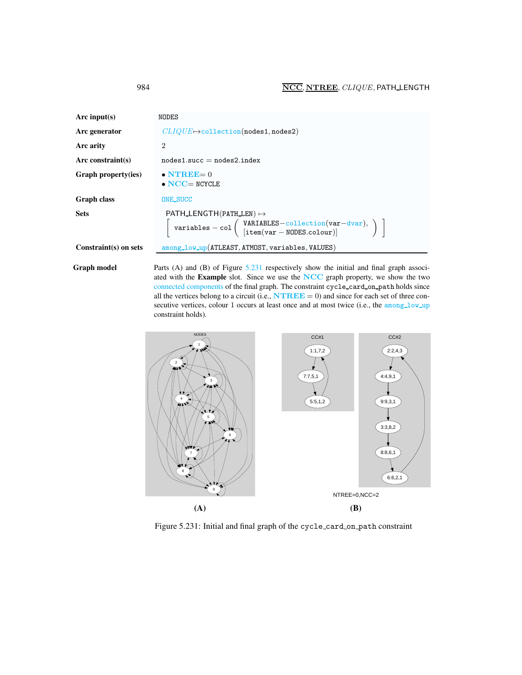| Arc input(s)          | NODES                                                                                                                                                                                                                                                                   |  |
|-----------------------|-------------------------------------------------------------------------------------------------------------------------------------------------------------------------------------------------------------------------------------------------------------------------|--|
| Arc generator         | $CLIQUE \rightarrow collection(nodes1, nodes2)$                                                                                                                                                                                                                         |  |
| Arc arity             | $\overline{2}$                                                                                                                                                                                                                                                          |  |
| Arc constraint(s)     | $nodes1.succ = nodes2.index$                                                                                                                                                                                                                                            |  |
| Graph property(ies)   | $\bullet$ NTREE= 0<br>$\bullet$ NCC= NCYCLE                                                                                                                                                                                                                             |  |
| <b>Graph class</b>    | <b>ONE_SUCC</b>                                                                                                                                                                                                                                                         |  |
| <b>Sets</b>           | PATH LENGTH (PATH LEN) $\mapsto$<br>$\left[\begin{array}{c} \text{variables} - \text{col}\left(\begin{array}{c} \text{VARIABLES}-\text{collection}(\text{var}-\text{dvar}),\\ \text{item}(\text{var}-\text{NODES}.\text{colour}) \end{array}\right) \end{array}\right)$ |  |
| Constraint(s) on sets | among_low_up(ATLEAST, ATMOST, variables, VALUES)                                                                                                                                                                                                                        |  |

Graph model Parts (A) and (B) of Figure [5.231](#page-2-1) respectively show the initial and final graph associated with the Example slot. Since we use the NCC graph property, we show the two connected components of the final graph. The constraint cycle card on path holds since all the vertices belong to a circuit (i.e.,  $\mathbf{N} \mathbf{T} \mathbf{R} \mathbf{E} \mathbf{E} = 0$ ) and since for each set of three consecutive vertices, colour 1 occurs at least once and at most twice (i.e., the among low up constraint holds).



<span id="page-2-1"></span>Figure 5.231: Initial and final graph of the cycle card on path constraint

<span id="page-2-0"></span>